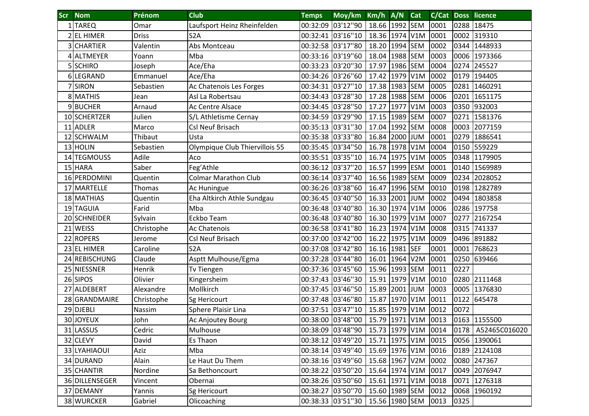| <b>Scr</b> | <b>Nom</b>     | Prénom       | <b>Club</b>                    | <b>Temps</b>      | Moy/km Km/h A/N   |                     |          | <b>Cat</b> |      |      | <b>C/Cat Doss licence</b> |
|------------|----------------|--------------|--------------------------------|-------------------|-------------------|---------------------|----------|------------|------|------|---------------------------|
|            | 1 TAREQ        | Omar         | Laufsport Heinz Rheinfelden    |                   | 00:32:09 03'12"90 | 18.66 1992 SEM      |          |            | 0001 | 0288 | 18475                     |
|            | 2 EL HIMER     | <b>Driss</b> | S <sub>2</sub> A               |                   | 00:32:41 03'16"10 | 18.36 1974 V1M      |          |            | 0001 | 0002 | 319310                    |
|            | 3 CHARTIER     | Valentin     | Abs Montceau                   |                   | 00:32:58 03'17"80 | 18.20 1994 SEM      |          |            | 0002 | 0344 | 1448933                   |
|            | 4 ALTMEYER     | Yoann        | Mba                            |                   | 00:33:16 03'19"60 | 18.04 1988 SEM      |          |            | 0003 |      | 0006 1973366              |
|            | 5 SCHIRO       | Joseph       | Ace/Eha                        | 00:33:23 03'20"30 |                   | 17.97               | 1986 SEM |            | 0004 | 0274 | 245527                    |
|            | 6 LEGRAND      | Emmanuel     | Ace/Eha                        | 00:34:26 03'26"60 |                   | 17.42               | 1979 V1M |            | 0002 | 0179 | 194405                    |
|            | <b>SIRON</b>   | Sebastien    | Ac Chatenois Les Forges        |                   | 00:34:31 03'27"10 | 17.38 1983 SEM      |          |            | 0005 | 0281 | 1460291                   |
|            | 8 MATHIS       | Jean         | Asl La Robertsau               |                   | 00:34:43 03'28"30 | 17.28 1988 SEM      |          |            | 0006 | 0201 | 1651175                   |
|            | 9BUCHER        | Arnaud       | Ac Centre Alsace               |                   | 00:34:45 03'28"50 | 17.27               | 1977 V1M |            | 0003 |      | 0350 932003               |
|            | 10 SCHERTZER   | Julien       | S/L Athletisme Cernay          |                   | 00:34:59 03'29"90 | 17.15 1989 SEM      |          |            | 0007 | 0271 | 1581376                   |
|            | 11 ADLER       | Marco        | Csl Neuf Brisach               | 00:35:13 03'31"30 |                   | 17.04               | 1992 SEM |            | 0008 | 0003 | 2077159                   |
|            | 12 SCHWALM     | Thibaut      | Usta                           | 00:35:38 03'33"80 |                   | 16.84               | 2000 JUM |            | 0001 | 0279 | 1886541                   |
|            | 13 HOLIN       | Sebastien    | Olympique Club Thiervillois 55 | 00:35:45 03'34"50 |                   | 16.78 1978 V1M      |          |            | 0004 |      | 0150 559229               |
|            | 14 TEGMOUSS    | Adile        | Aco                            |                   | 00:35:51 03'35"10 | 16.74 1975 V1M      |          |            | 0005 |      | 0348 1179905              |
|            | 15 HARA        | Saber        | Feg'Athle                      |                   | 00:36:12 03'37"20 | 16.57               | 1999 ESM |            | 0001 |      | 0140 1569989              |
|            | 16 PERDOMINI   | Quentin      | <b>Colmar Marathon Club</b>    |                   | 00:36:14 03'37"40 | 16.56 1989 SEM      |          |            | 0009 | 0234 | 2028052                   |
|            | 17 MARTELLE    | Thomas       | Ac Huningue                    | 00:36:26 03'38"60 |                   | 16.47               | 1996 SEM |            | 0010 | 0198 | 1282789                   |
|            | 18 MATHIAS     | Quentin      | Eha Altkirch Athle Sundgau     | 00:36:45 03'40"50 |                   | 16.33 2001 JUM      |          |            | 0002 | 0494 | 1803858                   |
|            | 19 TAGUIA      | Farid        | Mba                            |                   | 00:36:48 03'40"80 | 16.30 1974 V1M      |          |            | 0006 | 0286 | 197758                    |
|            | 20 SCHNEIDER   | Sylvain      | Eckbo Team                     |                   | 00:36:48 03'40"80 | 16.30               | 1979 V1M |            | 0007 | 0277 | 2167254                   |
|            | 21 WEISS       | Christophe   | Ac Chatenois                   |                   | 00:36:58 03'41"80 | 16.23 1974 V1M      |          |            | 0008 | 0315 | 741337                    |
|            | 22 ROPERS      | Jerome       | Csl Neuf Brisach               |                   | 00:37:00 03'42"00 | 16.22               | 1975 V1M |            | 0009 | 0496 | 891882                    |
|            | 23 EL HIMER    | Caroline     | S <sub>2</sub> A               |                   | 00:37:08 03'42"80 | 16.16 1981 SEF      |          |            | 0001 | 0001 | 768623                    |
|            | 24 REBISCHUNG  | Claude       | Asptt Mulhouse/Egma            | 00:37:28 03'44"80 |                   | 16.01               | 1964 V2M |            | 0001 | 0250 | 639466                    |
|            | 25 NIESSNER    | Henrik       | Tv Tiengen                     | 00:37:36 03'45"60 |                   | 15.96 1993 SEM      |          |            | 0011 | 0227 |                           |
|            | 26 SIPOS       | Olivier      | Kingersheim                    |                   | 00:37:43 03'46"30 | 15.91 1979 V1M      |          |            | 0010 | 0280 | 2111468                   |
|            | 27 ALDEBERT    | Alexandre    | Mollkirch                      |                   | 00:37:45 03'46"50 | 15.89               | 2001 JUM |            | 0003 | 0005 | 1376830                   |
|            | 28 GRANDMAIRE  | Christophe   | Sg Hericourt                   |                   | 00:37:48 03'46"80 | 15.87               | 1970 V1M |            | 0011 | 0122 | 645478                    |
|            | 29 DJEBLI      | Nassim       | Sphere Plaisir Lina            |                   | 00:37:51 03'47"10 | 15.85 1979 V1M      |          |            | 0012 | 0072 |                           |
|            | 30 JOYEUX      | John         | Ac Anjoutey Bourg              |                   | 00:38:00 03'48"00 | 15.79 1971 V1M 0013 |          |            |      |      | 0163 1155500              |
|            | 31 LASSUS      | Cedric       | Mulhouse                       |                   | 00:38:09 03'48"90 | 15.73 1979 V1M 0014 |          |            |      |      | 0178   A52465C016020      |
|            | 32 CLEVY       | David        | Es Thaon                       | 00:38:12 03'49"20 |                   | 15.71 1975 V1M      |          |            | 0015 |      | 0056 1390061              |
|            | 33 LYAHIAOUI   | Aziz         | Mba                            | 00:38:14 03'49"40 |                   | 15.69 1976 V1M      |          |            | 0016 |      | 0189 2124108              |
|            | 34 DURAND      | Alain        | Le Haut Du Them                | 00:38:16 03'49"60 |                   | 15.68 1967 V2M      |          |            | 0002 |      | 0080 247367               |
|            | 35 CHANTIR     | Nordine      | Sa Bethoncourt                 | 00:38:22 03'50"20 |                   | 15.64 1974 V1M      |          |            | 0017 |      | 0049 2076947              |
|            | 36 DILLENSEGER | Vincent      | Obernai                        | 00:38:26 03'50"60 |                   | 15.61 1971 V1M      |          |            | 0018 |      | 0071 1276318              |
|            | 37 DEMANY      | Yannis       | Sg Hericourt                   | 00:38:27 03'50"70 |                   | 15.60 1989 SEM      |          |            | 0012 |      | 0068 1960192              |
|            | 38 WURCKER     | Gabriel      | Olicoaching                    |                   | 00:38:33 03'51"30 | 15.56 1980 SEM      |          |            | 0013 | 0325 |                           |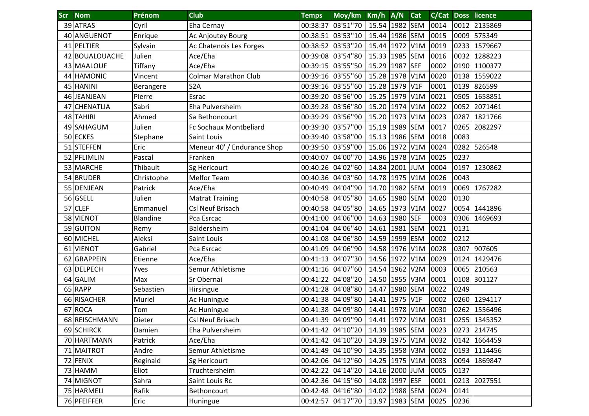| <b>Scr</b> Nom | Prénom          | <b>Club</b>                   | <b>Temps</b>      | Moy/km Km/h A/N   |                     |          | Cat |      |      | <b>C/Cat Doss licence</b> |
|----------------|-----------------|-------------------------------|-------------------|-------------------|---------------------|----------|-----|------|------|---------------------------|
| 39 ATRAS       | Cyril           | Eha Cernay                    | 00:38:37          | 03'51"70          | 15.54 1982 SEM      |          |     | 0014 | 0012 | 2135869                   |
| 40 ANGUENOT    | Enrique         | Ac Anjoutey Bourg             |                   | 00:38:51 03'53"10 | 15.44               | 1986 SEM |     | 0015 | 0009 | 575349                    |
| 41 PELTIER     | Sylvain         | Ac Chatenois Les Forges       |                   | 00:38:52 03'53"20 | 15.44               | 1972 V1M |     | 0019 |      | 0233 1579667              |
| 42 BOUALOUACHE | Julien          | Ace/Eha                       |                   | 00:39:08 03'54"80 | 15.33 1985 SEM      |          |     | 0016 | 0032 | 1288223                   |
| 43 MAALOUF     | Tiffany         | Ace/Eha                       | 00:39:15 03'55"50 |                   | 15.29               | 1987 SEF |     | 0002 | 0190 | 1100377                   |
| 44 HAMONIC     | Vincent         | <b>Colmar Marathon Club</b>   | 00:39:16 03'55"60 |                   | 15.28 1978 V1M      |          |     | 0020 |      | 0138 1559022              |
| 45 HANINI      | Berangere       | S <sub>2</sub> A              |                   | 00:39:16 03'55"60 | 15.28 1979 V1F      |          |     | 0001 | 0139 | 826599                    |
| 46 JEANJEAN    | Pierre          | Esrac                         |                   | 00:39:20 03'56"00 | 15.25 1979 V1M      |          |     | 0021 | 0505 | 1658851                   |
| 47 CHENATLIA   | Sabri           | Eha Pulversheim               |                   | 00:39:28 03'56"80 | 15.20               | 1974 V1M |     | 0022 | 0052 | 2071461                   |
| 48 TAHIRI      | Ahmed           | Sa Bethoncourt                |                   | 00:39:29 03'56"90 | 15.20               | 1973 V1M |     | 0023 | 0287 | 1821766                   |
| 49 SAHAGUM     | Julien          | <b>Fc Sochaux Montbeliard</b> | 00:39:30 03'57"00 |                   | 15.19 1989 SEM      |          |     | 0017 | 0265 | 2082297                   |
| 50 ECKES       | Stephane        | Saint Louis                   | 00:39:40 03'58"00 |                   | 15.13 1986 SEM      |          |     | 0018 | 0083 |                           |
| 51 STEFFEN     | Eric            | Meneur 40' / Endurance Shop   | 00:39:50 03'59"00 |                   | 15.06 1972 V1M      |          |     | 0024 | 0282 | 526548                    |
| 52 PFLIMLIN    | Pascal          | Franken                       |                   | 00:40:07 04'00"70 | 14.96 1978 V1M      |          |     | 0025 | 0237 |                           |
| 53 MARCHE      | Thibault        | Sg Hericourt                  |                   | 00:40:26 04'02"60 | 14.84               | 2001 JUM |     | 0004 | 0197 | 1230862                   |
| 54 BRUDER      | Christophe      | <b>Melfor Team</b>            |                   | 00:40:36 04'03"60 | 14.78 1975 V1M      |          |     | 0026 | 0043 |                           |
| 55 DENJEAN     | Patrick         | Ace/Eha                       |                   | 00:40:49 04'04"90 | 14.70 1982 SEM      |          |     | 0019 | 0069 | 1767282                   |
| 56 GSELL       | Julien          | <b>Matrat Training</b>        | 00:40:58 04'05"80 |                   | 14.65 1980 SEM      |          |     | 0020 | 0130 |                           |
| 57 CLEF        | Emmanuel        | Csl Neuf Brisach              |                   | 00:40:58 04'05"80 | 14.65 1973 V1M      |          |     | 0027 | 0054 | 1441896                   |
| 58 VIENOT      | <b>Blandine</b> | Pca Esrcac                    |                   | 00:41:00 04'06"00 | 14.63               | 1980 SEF |     | 0003 |      | 0306 1469693              |
| 59 GUITON      | Remy            | Baldersheim                   |                   | 00:41:04 04'06"40 | 14.61               | 1981 SEM |     | 0021 | 0131 |                           |
| 60 MICHEL      | Aleksi          | Saint Louis                   |                   | 00:41:08 04'06"80 | 14.59               | 1999 ESM |     | 0002 | 0212 |                           |
| 61 VIENOT      | Gabriel         | Pca Esrcac                    |                   | 00:41:09 04'06"90 | 14.58 1976 V1M      |          |     | 0028 | 0307 | 907605                    |
| 62 GRAPPEIN    | Etienne         | Ace/Eha                       | 00:41:13 04'07"30 |                   | 14.56 1972 V1M      |          |     | 0029 | 0124 | 1429476                   |
| 63 DELPECH     | Yves            | Semur Athletisme              | 00:41:16 04'07"60 |                   | 14.54               | 1962 V2M |     | 0003 |      | 0065 210563               |
| 64 GALIM       | Max             | Sr Obernai                    |                   | 00:41:22 04'08"20 | 14.50 1955 V3M      |          |     | 0001 | 0108 | 301127                    |
| 65 RAPP        | Sebastien       | Hirsingue                     |                   | 00:41:28 04'08"80 | 14.47               | 1980 SEM |     | 0022 | 0249 |                           |
| 66 RISACHER    | Muriel          | Ac Huningue                   |                   | 00:41:38 04'09"80 | 14.41               | 1975 V1F |     | 0002 | 0260 | 1294117                   |
| 67 ROCA        | Tom             | Ac Huningue                   |                   | 00:41:38 04'09"80 | 14.41 1978 V1M      |          |     | 0030 |      | 0262 1556496              |
| 68 REISCHMANN  | Dieter          | Csl Neuf Brisach              |                   | 00:41:39 04'09"90 | 14.41 1972 V1M 0031 |          |     |      |      | 0255 1345352              |
| 69 SCHIRCK     | Damien          | Eha Pulversheim               |                   | 00:41:42 04'10"20 | 14.39 1985 SEM      |          |     | 0023 |      | 0273 214745               |
| 70 HARTMANN    | Patrick         | Ace/Eha                       | 00:41:42 04'10"20 |                   | 14.39 1975 V1M      |          |     | 0032 |      | 0142 1664459              |
| 71 MAITROT     | Andre           | Semur Athletisme              | 00:41:49 04'10"90 |                   | 14.35 1958 V3M      |          |     | 0002 |      | 0193 1114456              |
| 72 FENIX       | Reginald        | Sg Hericourt                  | 00:42:06 04'12"60 |                   | 14.25 1975 V1M      |          |     | 0033 | 0094 | 1869847                   |
| 73 HAMM        | Eliot           | Truchtersheim                 | 00:42:22 04'14"20 |                   | 14.16 2000 JUM      |          |     | 0005 | 0137 |                           |
| 74 MIGNOT      | Sahra           | Saint Louis Rc                | 00:42:36 04'15"60 |                   | 14.08 1997 ESF      |          |     | 0001 |      | 0213 2027551              |
| 75 HARMELI     | Rafik           | Bethoncourt                   | 00:42:48 04'16"80 |                   | 14.02 1988 SEM      |          |     | 0024 | 0141 |                           |
| 76 PFEIFFER    | Eric            | Huningue                      | 00:42:57 04'17"70 |                   | 13.97 1983 SEM      |          |     | 0025 | 0236 |                           |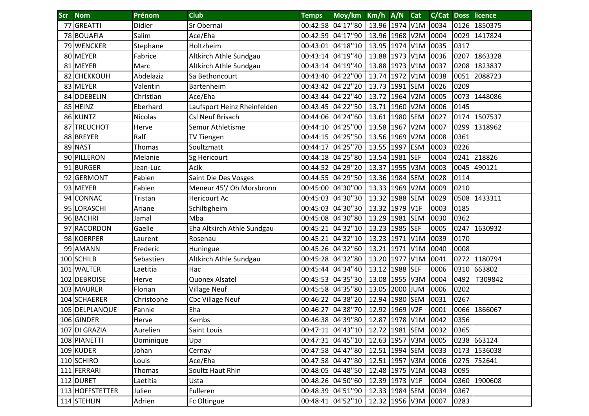| <b>Scr</b> | <b>Nom</b>      | Prénom     | <b>Club</b>                 | <b>Temps</b>      | Moy/km Km/h A/N   |                |          | <b>Cat</b>       | C/Cat Doss |      | licence      |
|------------|-----------------|------------|-----------------------------|-------------------|-------------------|----------------|----------|------------------|------------|------|--------------|
| 77         | GREATTI         | Didier     | Sr Obernai                  | 00:42:58 04'17"80 |                   | 13.96 1974 V1M |          |                  | 0034       | 0126 | 1850375      |
|            | 78 BOUAFIA      | Salim      | Ace/Eha                     |                   | 00:42:59 04'17"90 | 13.96 1968 V2M |          |                  | 0004       | 0029 | 1417824      |
|            | 79 WENCKER      | Stephane   | Holtzheim                   |                   | 00:43:01 04'18"10 | 13.95 1974 V1M |          |                  | 0035       | 0317 |              |
|            | 80 MEYER        | Fabrice    | Altkirch Athle Sundgau      |                   | 00:43:14 04'19"40 | 13.88 1973 V1M |          |                  | 0036       | 0207 | 1863328      |
|            | 81 MEYER        | Marc       | Altkirch Athle Sundgau      | 00:43:14 04'19"40 |                   | 13.88          | 1973 V1M |                  | 0037       | 0208 | 1823837      |
|            | 82 CHEKKOUH     | Abdelaziz  | Sa Bethoncourt              | 00:43:40 04'22"00 |                   | 13.74          | 1972 V1M |                  | 0038       | 0051 | 2088723      |
|            | 83 MEYER        | Valentin   | Bartenheim                  | 00:43:42 04'22"20 |                   | 13.73 1991 SEM |          |                  | 0026       | 0209 |              |
|            | 84 DOEBELIN     | Christian  | Ace/Eha                     |                   | 00:43:44 04'22"40 | 13.72 1964 V2M |          |                  | 0005       | 0073 | 1448086      |
|            | 85 HEINZ        | Eberhard   | Laufsport Heinz Rheinfelden |                   | 00:43:45 04'22"50 | 13.71          | 1960 V2M |                  | 0006       | 0145 |              |
|            | 86 KUNTZ        | Nicolas    | Csl Neuf Brisach            |                   | 00:44:06 04'24"60 | 13.61          | 1980 SEM |                  | 0027       | 0174 | 1507537      |
|            | 87 TREUCHOT     | Herve      | Semur Athletisme            | 00:44:10 04'25"00 |                   | 13.58 1967 V2M |          |                  | 0007       | 0299 | 1318962      |
|            | 88 BREYER       | Ralf       | TV Tiengen                  | 00:44:15 04'25"50 |                   | 13.56 1969     |          | V <sub>2</sub> M | 0008       | 0361 |              |
|            | 89 NAST         | Thomas     | Soultzmatt                  | 00:44:17 04'25"70 |                   | 13.55 1997     |          | <b>ESM</b>       | 0003       | 0226 |              |
|            | 90 PILLERON     | Melanie    | Sg Hericourt                |                   | 00:44:18 04'25"80 | 13.54          | 1981     | <b>SEF</b>       | 0004       | 0241 | 218826       |
|            | 91 BURGER       | Jean-Luc   | Acik                        |                   | 00:44:52 04'29"20 | 13.37          | 1955 V3M |                  | 0003       | 0045 | 490121       |
|            | 92 GERMONT      | Fabien     | Saint Die Des Vosges        |                   | 00:44:55 04'29"50 | 13.36          | 1984 SEM |                  | 0028       | 0114 |              |
|            | 93 MEYER        | Fabien     | Meneur 45'/ Oh Morsbronn    |                   | 00:45:00 04'30"00 | 13.33          | 1969 V2M |                  | 0009       | 0210 |              |
|            | 94 CONNAC       | Tristan    | <b>Hericourt Ac</b>         | 00:45:03 04'30"30 |                   | 13.32 1988 SEM |          |                  | 0029       | 0508 | 1433311      |
|            | 95 LORASCHI     | Ariane     | Schiltigheim                | 00:45:03 04'30"30 |                   | 13.32          | 1979 V1F |                  | 0003       | 0185 |              |
|            | 96 BACHRI       | Jamal      | Mba                         | 00:45:08 04'30"80 |                   | 13.29          | 1981 SEM |                  | 0030       | 0362 |              |
|            | 97 RACORDON     | Gaelle     | Eha Altkirch Athle Sundgau  |                   | 00:45:21 04'32"10 | 13.23 1985 SEF |          |                  | 0005       | 0247 | 1630932      |
|            | 98 KOERPER      | Laurent    | Rosenau                     |                   | 00:45:21 04'32"10 | 13.23          | 1971     | V1M              | 0039       | 0170 |              |
|            | 99 AMANN        | Frederic   | Huningue                    |                   | 00:45:26 04'32"60 | 13.21          | 1971 V1M |                  | 0040       | 0008 |              |
|            | 100 SCHILB      | Sebastien  | Altkirch Athle Sundgau      |                   | 00:45:28 04'32"80 | 13.20          | 1977     | V1M              | 0041       | 0272 | 1180794      |
|            | 101 WALTER      | Laetitia   | Hac                         | 00:45:44 04'34"40 |                   | 13.12 1988 SEF |          |                  | 0006       |      | 0310 663802  |
|            | 102 DEBROISE    | Herve      | Quonex Alsatel              |                   | 00:45:53 04'35"30 | 13.08 1955 V3M |          |                  | 0004       | 0492 | T309842      |
|            | 103 MAURER      | Florian    | <b>Village Neuf</b>         |                   | 00:45:58 04'35"80 | 13.05 2000 JUM |          |                  | 0006       | 0202 |              |
|            | 104 SCHAERER    | Christophe | <b>Cbc Village Neuf</b>     |                   | 00:46:22 04'38"20 | 12.94          | 1980 SEM |                  | 0031       | 0267 |              |
|            | 105 DELPLANQUE  | Fannie     | Eha                         |                   | 00:46:27 04'38"70 | 12.92          | 1969 V2F |                  | 0001       | 0066 | 1866067      |
|            | 106 GINDER      | Herve      | <b>Kembs</b>                |                   | 00:46:38 04'39"80 | 12.87 1978 V1M |          |                  | 0042       | 0356 |              |
|            | 107 DI GRAZIA   | Aurelien   | Saint Louis                 |                   | 00:47:11 04'43"10 | 12.72 1981 SEM |          |                  | 0032       | 0365 |              |
|            | 108 PIANETTI    | Dominique  | Upa                         | 00:47:31 04'45"10 |                   | 12.63 1957 V3M |          |                  | 0005       |      | 0238 663124  |
|            | 109 KUDER       | Johan      | Cernay                      | 00:47:58 04'47"80 |                   | 12.51 1994 SEM |          |                  | 0033       |      | 0173 1536038 |
|            | 110 SCHIRO      | Louis      | Ace/Eha                     | 00:47:58 04'47"80 |                   | 12.51 1957 V3M |          |                  | 0006       |      | 0275 752641  |
|            | 111 FERRARI     | Thomas     | Soultz Haut Rhin            |                   | 00:48:05 04'48"50 | 12.48 1975 V1M |          |                  | 0043       | 0095 |              |
|            | 112 DURET       | Laetitia   | Usta                        | 00:48:26 04'50"60 |                   | 12.39 1973 V1F |          |                  | 0004       |      | 0360 1900608 |
|            | 113 HOFFSTETTER | Julien     | Fulleren                    | 00:48:39 04'51"90 |                   | 12.33 1984 SEM |          |                  | 0034       | 0367 |              |
|            | 114 STEHLIN     | Adrien     | Fc Oltingue                 | 00:48:41 04'52"10 |                   | 12.32 1956 V3M |          |                  | 0007       | 0283 |              |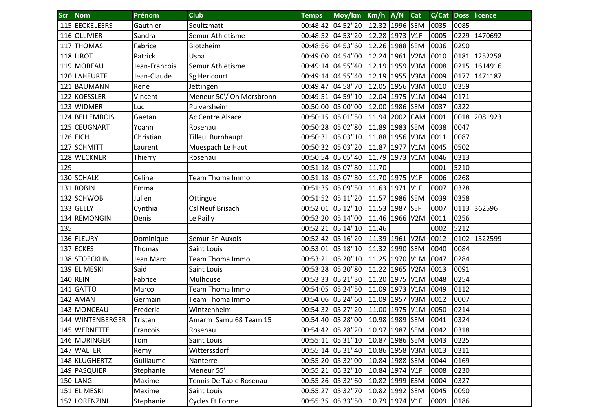| <b>Scr</b> | <b>Nom</b>       | Prénom        | <b>Club</b>              | <b>Temps</b>      | Moy/km Km/h A/N                    |                |          | Cat | C/Cat Doss |      | licence      |
|------------|------------------|---------------|--------------------------|-------------------|------------------------------------|----------------|----------|-----|------------|------|--------------|
|            | 115 EECKELEERS   | Gauthier      | Soultzmatt               |                   | 00:48:42 04'52"20                  | 12.32 1996 SEM |          |     | 0035       | 0085 |              |
|            | 116 OLLIVIER     | Sandra        | Semur Athletisme         |                   | 00:48:52 04'53"20                  | 12.28 1973 V1F |          |     | 0005       | 0229 | 1470692      |
|            | 117 THOMAS       | Fabrice       | Blotzheim                |                   | 00:48:56 04'53"60                  | 12.26 1988 SEM |          |     | 0036       | 0290 |              |
|            | 118 LIROT        | Patrick       | Uspa                     |                   | 00:49:00 04'54"00                  | 12.24          | 1961 V2M |     | 0010       | 0181 | 1252258      |
|            | 119 MOREAU       | Jean-Francois | Semur Athletisme         | 00:49:14 04'55"40 |                                    | 12.19          | 1959 V3M |     | 0008       | 0215 | 1614916      |
|            | 120 LAHEURTE     | Jean-Claude   | Sg Hericourt             | 00:49:14 04'55"40 |                                    | 12.19          | 1955 V3M |     | 0009       | 0177 | 1471187      |
| 121        | <b>BAUMANN</b>   | Rene          | Jettingen                | 00:49:47 04'58"70 |                                    | 12.05 1956 V3M |          |     | 0010       | 0359 |              |
|            | 122 KOESSLER     | Vincent       | Meneur 50'/ Oh Morsbronn |                   | 00:49:51 04'59"10                  | 12.04          | 1975 V1M |     | 0044       | 0171 |              |
| 123        | <b>WIDMER</b>    | Luc           | Pulversheim              |                   | 00:50:00 05'00"00                  | 12.00          | 1986 SEM |     | 0037       | 0322 |              |
|            | 124 BELLEMBOIS   | Gaetan        | Ac Centre Alsace         |                   | 00:50:15 05'01"50                  | 11.94          | 2002 CAM |     | 0001       |      | 0018 2081923 |
| 125        | <b>CEUGNART</b>  | Yoann         | Rosenau                  |                   | 00:50:28 05'02"80                  | 11.89          | 1983 SEM |     | 0038       | 0047 |              |
|            | 126 EICH         | Christian     | <b>Tilleul Burnhaupt</b> | 00:50:31 05'03"10 |                                    | 11.88          | 1956 V3M |     | 0011       | 0087 |              |
| 127        | <b>SCHMITT</b>   | Laurent       | Muespach Le Haut         | 00:50:32 05'03"20 |                                    | 11.87          | 1977 V1M |     | 0045       | 0502 |              |
|            | 128 WECKNER      | Thierry       | Rosenau                  |                   | 00:50:54 05'05"40                  | 11.79          | 1973 V1M |     | 0046       | 0313 |              |
| 129        |                  |               |                          |                   | 00:51:18 05'07"80                  | 11.70          |          |     | 0001       | 5210 |              |
|            | 130 SCHALK       | Celine        | Team Thoma Immo          |                   | 00:51:18 05'07"80                  | 11.70          | 1975 V1F |     | 0006       | 0268 |              |
|            | 131 ROBIN        | Emma          |                          |                   | 00:51:35 05'09"50                  | 11.63          | 1971 V1F |     | 0007       | 0328 |              |
|            | 132 SCHWOB       | Julien        | Ottingue                 | 00:51:52 05'11"20 |                                    | 11.57 1986 SEM |          |     | 0039       | 0358 |              |
|            | 133 GELLY        | Cynthia       | Csl Neuf Brisach         | 00:52:01 05'12"10 |                                    | 11.53          | 1987 SEF |     | 0007       |      | 0113 362596  |
|            | 134 REMONGIN     | Denis         | Le Pailly                | 00:52:20 05'14"00 |                                    | 11.46 1966 V2M |          |     | 0011       | 0256 |              |
| 135        |                  |               |                          | 00:52:21 05'14"10 |                                    | 11.46          |          |     | 0002       | 5212 |              |
|            | 136 FLEURY       | Dominique     | Semur En Auxois          |                   | 00:52:42 05'16"20                  | 11.39          | 1961 V2M |     | 0012       |      | 0102 1522599 |
|            | 137 ECKES        | Thomas        | Saint Louis              | 00:53:01          | 05'18"10                           | 11.32          | 1990 SEM |     | 0040       | 0084 |              |
|            | 138 STOECKLIN    | Jean Marc     | Team Thoma Immo          | 00:53:21          | 05'20"10                           | 11.25          | 1970 V1M |     | 0047       | 0284 |              |
|            | 139 EL MESKI     | Said          | Saint Louis              | 00:53:28 05'20"80 |                                    | 11.22          | 1965 V2M |     | 0013       | 0091 |              |
|            | 140 REIN         | Fabrice       | Mulhouse                 | 00:53:33 05'21"30 |                                    | 11.20          | 1975 V1M |     | 0048       | 0254 |              |
|            | 141 GATTO        | Marco         | Team Thoma Immo          | 00:54:05          | 05'24"50                           | 11.09          | 1973 V1M |     | 0049       | 0112 |              |
| 142        | <b>AMAN</b>      | Germain       | Team Thoma Immo          |                   | 00:54:06 05'24"60                  | 11.09          | 1957 V3M |     | 0012       | 0007 |              |
|            | 143 MONCEAU      | Frederic      | Wintzenheim              |                   | 00:54:32 05'27"20                  | 11.00          | 1975 V1M |     | 0050       | 0214 |              |
|            | 144 WINTENBERGER | Tristan       | Amarm Samu 68 Team 15    |                   | 00:54:40 05'28"00   10.98 1989 SEM |                |          |     | 0041       | 0324 |              |
|            | 145 WERNETTE     | Francois      | Rosenau                  | 00:54:42 05'28"20 |                                    | 10.97 1987 SEM |          |     | 0042       | 0318 |              |
|            | 146 MURINGER     | Tom           | Saint Louis              | 00:55:11 05'31"10 |                                    | 10.87 1986 SEM |          |     | 0043       | 0225 |              |
|            | 147 WALTER       | Remy          | Witterssdorf             |                   | 00:55:14 05'31"40                  | 10.86 1958 V3M |          |     | 0013       | 0311 |              |
|            | 148 KLUGHERTZ    | Guillaume     | Nanterre                 |                   | 00:55:20 05'32"00                  | 10.84 1988 SEM |          |     | 0044       | 0169 |              |
|            | 149 PASQUIER     | Stephanie     | Meneur 55'               | 00:55:21 05'32"10 |                                    | 10.84 1974 V1F |          |     | 0008       | 0230 |              |
|            | 150 LANG         | Maxime        | Tennis De Table Rosenau  | 00:55:26 05'32"60 |                                    | 10.82 1999 ESM |          |     | 0004       | 0327 |              |
|            | 151 EL MESKI     | Maxime        | Saint Louis              | 00:55:27 05'32"70 |                                    | 10.82 1992 SEM |          |     | 0045       | 0090 |              |
|            | 152 LORENZINI    | Stephanie     | Cycles Et Forme          |                   | 00:55:35 05'33"50                  | 10.79 1974 V1F |          |     | 0009       | 0186 |              |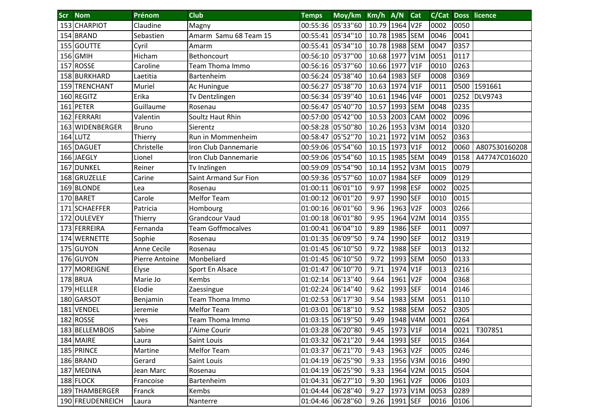| Scr | <b>Nom</b>         | Prénom         | <b>Club</b>                  | <b>Temps</b>      | Moy/km Km/h A/N   |                |          | <b>Cat</b> |      |      | <b>C/Cat Doss licence</b> |
|-----|--------------------|----------------|------------------------------|-------------------|-------------------|----------------|----------|------------|------|------|---------------------------|
|     | 153 CHARPIOT       | Claudine       | Magny                        |                   | 00:55:36 05'33"60 | 10.79 1964 V2F |          |            | 0002 | 0050 |                           |
|     | 154 BRAND          | Sebastien      | Amarm Samu 68 Team 15        |                   | 00:55:41 05'34"10 | 10.78 1985 SEM |          |            | 0046 | 0041 |                           |
|     | 155 GOUTTE         | Cyril          | Amarm                        |                   | 00:55:41 05'34"10 | 10.78          | 1988 SEM |            | 0047 | 0357 |                           |
|     | 156 GMIH           | Hicham         | Bethoncourt                  |                   | 00:56:10 05'37"00 | 10.68          | 1977 V1M |            | 0051 | 0117 |                           |
|     | 157 ROSSE          | Caroline       | Team Thoma Immo              |                   | 00:56:16 05'37"60 | 10.66          | 1977 V1F |            | 0010 | 0263 |                           |
|     | 158 BURKHARD       | Laetitia       | <b>Bartenheim</b>            | 00:56:24 05'38"40 |                   | 10.64          | 1983 SEF |            | 0008 | 0369 |                           |
|     | 159 TRENCHANT      | Muriel         | Ac Huningue                  | 00:56:27          | 05'38"70          | 10.63          | 1974 V1F |            | 0011 |      | 0500 1591661              |
|     | 160 REGITZ         | Erika          | Tv Dentzlingen               |                   | 00:56:34 05'39"40 | 10.61 1946 V4F |          |            | 0001 | 0252 | <b>DLV9743</b>            |
|     | 161 PETER          | Guillaume      | Rosenau                      |                   | 00:56:47 05'40"70 | 10.57          | 1993 SEM |            | 0048 | 0235 |                           |
|     | 162 FERRARI        | Valentin       | Soultz Haut Rhin             |                   | 00:57:00 05'42"00 | 10.53          | 2003 CAM |            | 0002 | 0096 |                           |
| 163 | <b>WIDENBERGER</b> | <b>Bruno</b>   | Sierentz                     | 00:58:28 05'50"80 |                   | 10.26 1953 V3M |          |            | 0014 | 0320 |                           |
|     | $164$ LUTZ         | Thierry        | Run in Mommenheim            | 00:58:47 05'52"70 |                   | 10.21          | 1972 V1M |            | 0052 | 0363 |                           |
|     | 165 DAGUET         | Christelle     | Iron Club Dannemarie         |                   | 00:59:06 05'54"60 | 10.15 1973 V1F |          |            | 0012 | 0060 | A807530160208             |
|     | 166 JAEGLY         | Lionel         | Iron Club Dannemarie         |                   | 00:59:06 05'54"60 | 10.15 1985 SEM |          |            | 0049 | 0158 | A47747C016020             |
| 167 | <b>DUNKEL</b>      | Reiner         | Tv Inzlingen                 | 00:59:09 05'54"90 |                   | 10.14          | 1952 V3M |            | 0015 | 0079 |                           |
|     | 168 GRUZELLE       | Carine         | <b>Saint Armand Sur Fion</b> |                   | 00:59:36 05'57"60 | 10.07          | 1984 SEF |            | 0009 | 0129 |                           |
|     | 169 BLONDE         | Lea            | Rosenau                      | 01:00:11          | 06'01"10          | 9.97           | 1998 ESF |            | 0002 | 0025 |                           |
|     | 170 BARET          | Carole         | <b>Melfor Team</b>           | 01:00:12 06'01"20 |                   | 9.97           | 1990 SEF |            | 0010 | 0015 |                           |
|     | 171 SCHAEFFER      | Patricia       | Hombourg                     | 01:00:16 06'01"60 |                   | 9.96           | 1963 V2F |            | 0003 | 0266 |                           |
| 172 | OULEVEY!           | Thierry        | <b>Grandcour Vaud</b>        | 01:00:18 06'01"80 |                   | 9.95           | 1964 V2M |            | 0014 | 0355 |                           |
|     | 173 FERREIRA       | Fernanda       | <b>Team Goffmocalves</b>     | 01:00:41 06'04"10 |                   | 9.89           | 1986 SEF |            | 0011 | 0097 |                           |
|     | 174 WERNETTE       | Sophie         | Rosenau                      |                   | 01:01:35 06'09"50 | 9.74           | 1990 SEF |            | 0012 | 0319 |                           |
|     | 175 GUYON          | Anne Cecile    | Rosenau                      |                   | 01:01:45 06'10"50 | 9.72           | 1988 SEF |            | 0013 | 0132 |                           |
|     | 176 GUYON          | Pierre Antoine | Monbeliard                   | 01:01:45 06'10"50 |                   | 9.72           | 1993 SEM |            | 0050 | 0133 |                           |
| 177 | <b>MOREIGNE</b>    | Elyse          | Sport En Alsace              | 01:01:47          | 06'10"70          | 9.71           | 1974 V1F |            | 0013 | 0216 |                           |
|     | 178 BRUA           | Marie Jo       | Kembs                        | 01:02:14          | 06'13"40          | 9.64           | 1961 V2F |            | 0004 | 0368 |                           |
|     | 179 HELLER         | Elodie         | Zaessingue                   |                   | 01:02:24 06'14"40 | 9.62           | 1993 SEF |            | 0014 | 0146 |                           |
|     | 180 GARSOT         | Benjamin       | Team Thoma Immo              | 01:02:53 06'17"30 |                   | 9.54           | 1983 SEM |            | 0051 | 0110 |                           |
|     | 181 VENDEL         | Jeremie        | <b>Melfor Team</b>           | 01:03:01 06'18"10 |                   | 9.52           | 1988 SEM |            | 0052 | 0305 |                           |
|     | 182 ROSSE          | Yves           | Team Thoma Immo              |                   | 01:03:15 06'19"50 | 9.49           | 1948 V4M |            | 0001 | 0264 |                           |
|     | 183 BELLEMBOIS     | Sabine         | J'Aime Courir                | 01:03:28 06'20"80 |                   | 9.45           | 1973 V1F |            | 0014 | 0021 | T307851                   |
|     | 184 MAIRE          | Laura          | Saint Louis                  | 01:03:32 06'21"20 |                   | 9.44           | 1993 SEF |            | 0015 | 0364 |                           |
|     | 185 PRINCE         | Martine        | <b>Melfor Team</b>           | 01:03:37 06'21"70 |                   | 9.43           | 1963 V2F |            | 0005 | 0246 |                           |
|     | 186 BRAND          | Gerard         | Saint Louis                  | 01:04:19 06'25"90 |                   | 9.33           | 1956 V3M |            | 0016 | 0490 |                           |
|     | 187 MEDINA         | Jean Marc      | Rosenau                      |                   | 01:04:19 06'25"90 | 9.33           | 1964 V2M |            | 0015 | 0504 |                           |
|     | 188 FLOCK          | Francoise      | Bartenheim                   | 01:04:31 06'27"10 |                   | 9.30           | 1961 V2F |            | 0006 | 0103 |                           |
|     | 189 THAMBERGER     | Franck         | Kembs                        | 01:04:44 06'28"40 |                   | 9.27           | 1973 V1M |            | 0053 | 0289 |                           |
|     | 190 FREUDENREICH   | Laura          | Nanterre                     | 01:04:46 06'28"60 |                   | 9.26           | 1991 SEF |            | 0016 | 0106 |                           |